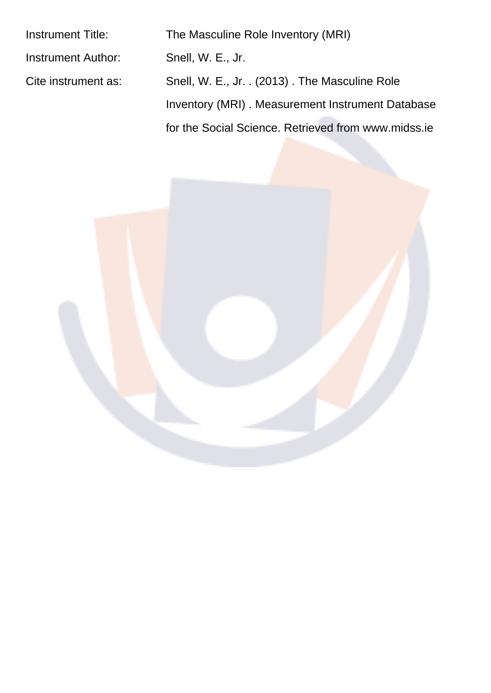| <b>Instrument Title:</b> | The Masculine Role Inventory (MRI)                  |
|--------------------------|-----------------------------------------------------|
| Instrument Author:       | Snell, W. E., Jr.                                   |
| Cite instrument as:      | Snell, W. E., Jr. . (2013). The Masculine Role      |
|                          | Inventory (MRI). Measurement Instrument Database    |
|                          | for the Social Science. Retrieved from www.midss.ie |
|                          |                                                     |

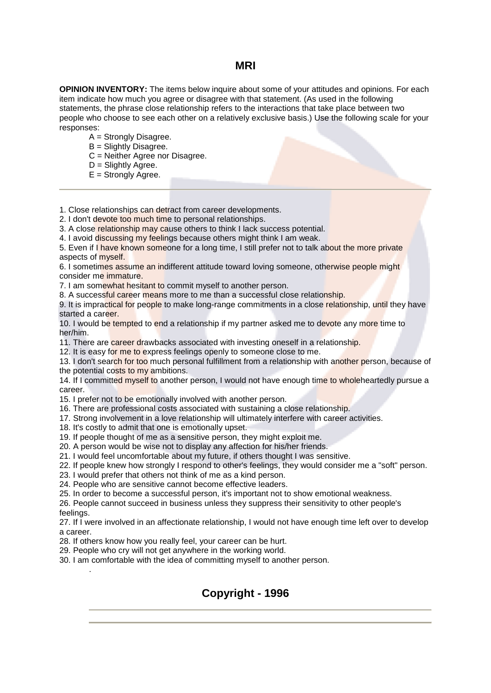### **MRI**

**OPINION INVENTORY:** The items below inquire about some of your attitudes and opinions. For each item indicate how much you agree or disagree with that statement. (As used in the following statements, the phrase close relationship refers to the interactions that take place between two people who choose to see each other on a relatively exclusive basis.) Use the following scale for your responses:

- $A =$  Strongly Disagree.
- $B =$  Slightly Disagree.
- C = Neither Agree nor Disagree.
- $D =$  Slightly Agree.
- $E =$  Strongly Agree.

1. Close relationships can detract from career developments.

2. I don't devote too much time to personal relationships.

3. A close relationship may cause others to think I lack success potential.

4. I avoid discussing my feelings because others might think I am weak.

5. Even if I have known someone for a long time, I still prefer not to talk about the more private aspects of myself.

6. I sometimes assume an indifferent attitude toward loving someone, otherwise people might consider me immature.

7. I am somewhat hesitant to commit myself to another person.

8. A successful career means more to me than a successful close relationship.

9. It is impractical for people to make long-range commitments in a close relationship, until they have started a career.

10. I would be tempted to end a relationship if my partner asked me to devote any more time to her/him.

11. There are career drawbacks associated with investing oneself in a relationship.

12. It is easy for me to express feelings openly to someone close to me.

13. I don't search for too much personal fulfillment from a relationship with another person, because of the potential costs to my ambitions.

14. If I committed myself to another person, I would not have enough time to wholeheartedly pursue a career.

15. I prefer not to be emotionally involved with another person.

- 16. There are professional costs associated with sustaining a close relationship.
- 17. Strong involvement in a love relationship will ultimately interfere with career activities.
- 18. It's costly to admit that one is emotionally upset.
- 19. If people thought of me as a sensitive person, they might exploit me.
- 20. A person would be wise not to display any affection for his/her friends.

21. I would feel uncomfortable about my future, if others thought I was sensitive.

- 22. If people knew how strongly I respond to other's feelings, they would consider me a "soft" person.
- 23. I would prefer that others not think of me as a kind person.

24. People who are sensitive cannot become effective leaders.

25. In order to become a successful person, it's important not to show emotional weakness.

26. People cannot succeed in business unless they suppress their sensitivity to other people's feelings.

27. If I were involved in an affectionate relationship, I would not have enough time left over to develop a career.

28. If others know how you really feel, your career can be hurt.

29. People who cry will not get anywhere in the working world.

30. I am comfortable with the idea of committing myself to another person.

## Copyright - 1996